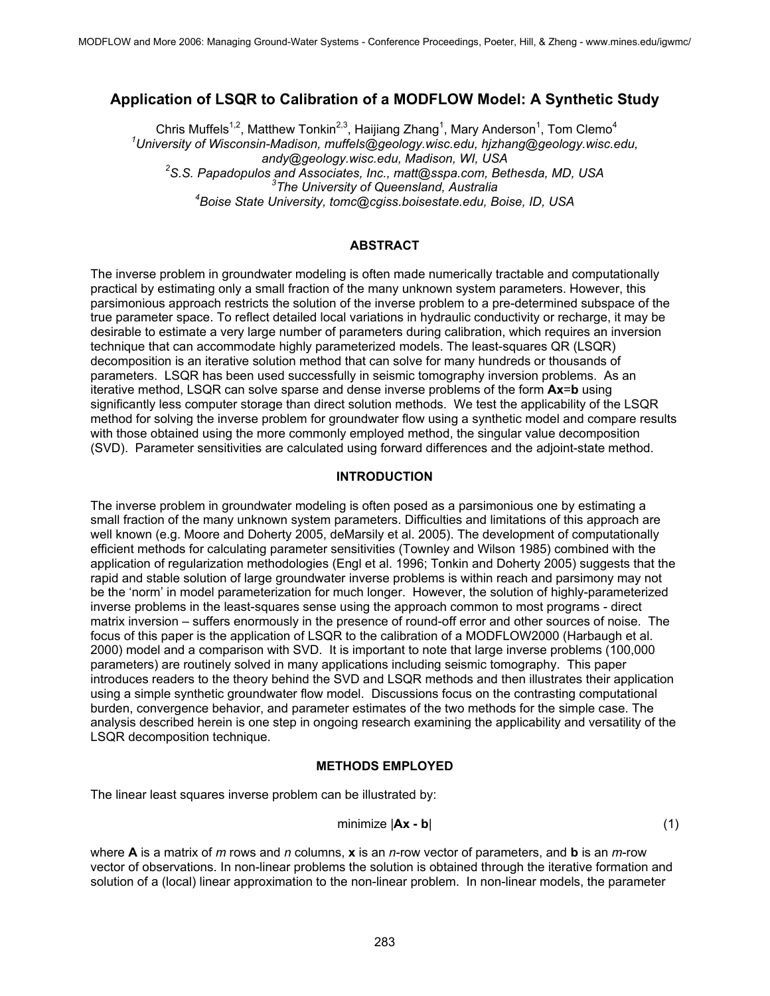# **Application of LSQR to Calibration of a MODFLOW Model: A Synthetic Study**

Chris Muffels<sup>1,2</sup>, Matthew Tonkin<sup>2,3</sup>, Haijiang Zhang<sup>1</sup>, Mary Anderson<sup>1</sup>, Tom Clemo<sup>4</sup> *1 University of Wisconsin-Madison, muffels@geology.wisc.edu, hjzhang@geology.wisc.edu, andy@geology.wisc.edu, Madison, WI, USA 2* <sup>2</sup> S.S. Papadopulos and Associates, Inc., matt@sspa.com, Bethesda, MD, USA <sup>3</sup>The University of Queensland, Australia *Boise State University, tomc@cgiss.boisestate.edu, Boise, ID, USA*

## **ABSTRACT**

The inverse problem in groundwater modeling is often made numerically tractable and computationally practical by estimating only a small fraction of the many unknown system parameters. However, this parsimonious approach restricts the solution of the inverse problem to a pre-determined subspace of the true parameter space. To reflect detailed local variations in hydraulic conductivity or recharge, it may be desirable to estimate a very large number of parameters during calibration, which requires an inversion technique that can accommodate highly parameterized models. The least-squares QR (LSQR) decomposition is an iterative solution method that can solve for many hundreds or thousands of parameters. LSQR has been used successfully in seismic tomography inversion problems. As an iterative method, LSQR can solve sparse and dense inverse problems of the form **Ax**=**b** using significantly less computer storage than direct solution methods. We test the applicability of the LSQR method for solving the inverse problem for groundwater flow using a synthetic model and compare results with those obtained using the more commonly employed method, the singular value decomposition (SVD). Parameter sensitivities are calculated using forward differences and the adjoint-state method.

### **INTRODUCTION**

The inverse problem in groundwater modeling is often posed as a parsimonious one by estimating a small fraction of the many unknown system parameters. Difficulties and limitations of this approach are well known (e.g. Moore and Doherty 2005, deMarsily et al. 2005). The development of computationally efficient methods for calculating parameter sensitivities (Townley and Wilson 1985) combined with the application of regularization methodologies (Engl et al. 1996; Tonkin and Doherty 2005) suggests that the rapid and stable solution of large groundwater inverse problems is within reach and parsimony may not be the 'norm' in model parameterization for much longer. However, the solution of highly-parameterized inverse problems in the least-squares sense using the approach common to most programs - direct matrix inversion – suffers enormously in the presence of round-off error and other sources of noise. The focus of this paper is the application of LSQR to the calibration of a MODFLOW2000 (Harbaugh et al. 2000) model and a comparison with SVD. It is important to note that large inverse problems (100,000 parameters) are routinely solved in many applications including seismic tomography. This paper introduces readers to the theory behind the SVD and LSQR methods and then illustrates their application using a simple synthetic groundwater flow model. Discussions focus on the contrasting computational burden, convergence behavior, and parameter estimates of the two methods for the simple case. The analysis described herein is one step in ongoing research examining the applicability and versatility of the LSQR decomposition technique.

#### **METHODS EMPLOYED**

The linear least squares inverse problem can be illustrated by:

$$
\text{minimize } |\mathbf{A}\mathbf{x} - \mathbf{b}| \tag{1}
$$

where **A** is a matrix of *m* rows and *n* columns, **x** is an *n*-row vector of parameters, and **b** is an *m*-row vector of observations. In non-linear problems the solution is obtained through the iterative formation and solution of a (local) linear approximation to the non-linear problem. In non-linear models, the parameter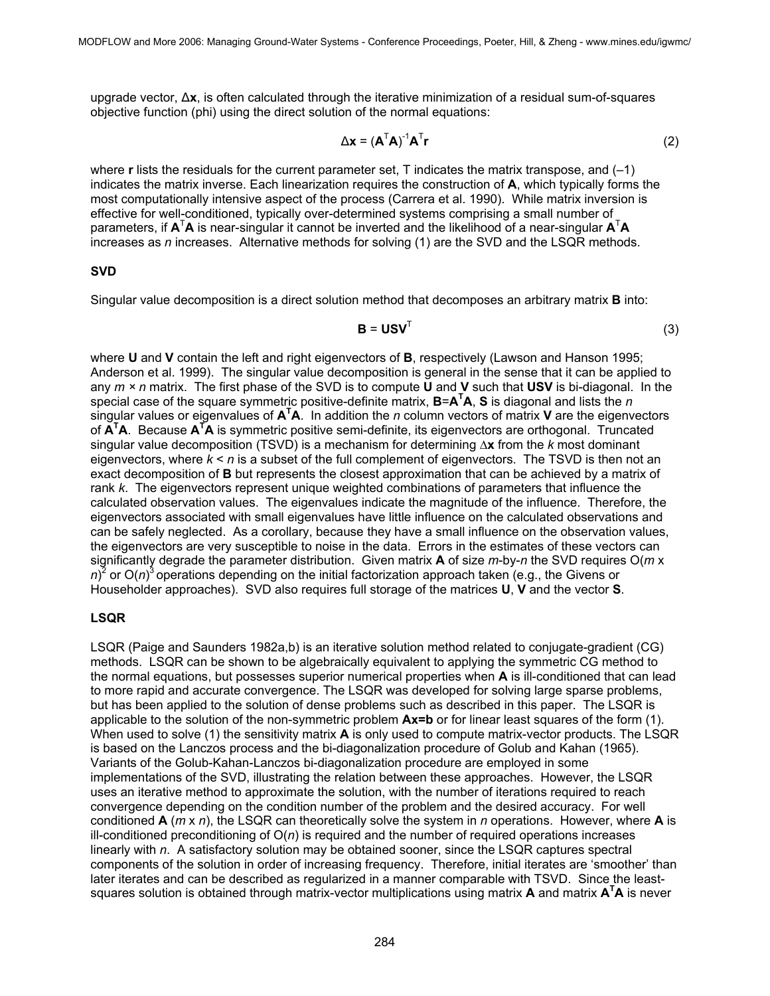upgrade vector, ∆**x**, is often calculated through the iterative minimization of a residual sum-of-squares objective function (phi) using the direct solution of the normal equations:

$$
\Delta \mathbf{x} = (\mathbf{A}^{\mathsf{T}} \mathbf{A})^{\mathsf{T}} \mathbf{A}^{\mathsf{T}} \mathbf{r}
$$
 (2)

where **r** lists the residuals for the current parameter set, T indicates the matrix transpose, and (–1) indicates the matrix inverse. Each linearization requires the construction of **A**, which typically forms the most computationally intensive aspect of the process (Carrera et al. 1990). While matrix inversion is effective for well-conditioned, typically over-determined systems comprising a small number of parameters, if  $A<sup>T</sup>A$  is near-singular it cannot be inverted and the likelihood of a near-singular  $A<sup>T</sup>A$ increases as *n* increases. Alternative methods for solving (1) are the SVD and the LSQR methods.

#### **SVD**

Singular value decomposition is a direct solution method that decomposes an arbitrary matrix **B** into:

$$
\mathbf{B} = \mathbf{U} \mathbf{S} \mathbf{V}^{\mathsf{T}} \tag{3}
$$

where **U** and **V** contain the left and right eigenvectors of **B**, respectively (Lawson and Hanson 1995; Anderson et al. 1999). The singular value decomposition is general in the sense that it can be applied to any *m × n* matrix. The first phase of the SVD is to compute **U** and **V** such that **USV** is bi-diagonal. In the special case of the square symmetric positive-definite matrix, **B**=**A<sup>T</sup> A**, **S** is diagonal and lists the *n*  singular values or eigenvalues of **A<sup>T</sup> A**. In addition the *n* column vectors of matrix **V** are the eigenvectors of **A<sup>T</sup> A**. Because **A<sup>T</sup> A** is symmetric positive semi-definite, its eigenvectors are orthogonal. Truncated singular value decomposition (TSVD) is a mechanism for determining ∆**x** from the *k* most dominant eigenvectors, where  $k < n$  is a subset of the full complement of eigenvectors. The TSVD is then not an exact decomposition of **B** but represents the closest approximation that can be achieved by a matrix of rank *k*. The eigenvectors represent unique weighted combinations of parameters that influence the calculated observation values. The eigenvalues indicate the magnitude of the influence. Therefore, the eigenvectors associated with small eigenvalues have little influence on the calculated observations and can be safely neglected. As a corollary, because they have a small influence on the observation values, the eigenvectors are very susceptible to noise in the data. Errors in the estimates of these vectors can significantly degrade the parameter distribution. Given matrix **A** of size *m*-by-*n* the SVD requires O(*m* x n)<sup>2</sup> or O(n)<sup>3</sup> operations depending on the initial factorization approach taken (e.g., the Givens or Householder approaches). SVD also requires full storage of the matrices **U**, **V** and the vector **S**.

### **LSQR**

LSQR (Paige and Saunders 1982a,b) is an iterative solution method related to conjugate-gradient (CG) methods. LSQR can be shown to be algebraically equivalent to applying the symmetric CG method to the normal equations, but possesses superior numerical properties when **A** is ill-conditioned that can lead to more rapid and accurate convergence. The LSQR was developed for solving large sparse problems, but has been applied to the solution of dense problems such as described in this paper. The LSQR is applicable to the solution of the non-symmetric problem  $Ax=b$  or for linear least squares of the form (1). When used to solve (1) the sensitivity matrix **A** is only used to compute matrix-vector products. The LSQR is based on the Lanczos process and the bi-diagonalization procedure of Golub and Kahan (1965). Variants of the Golub-Kahan-Lanczos bi-diagonalization procedure are employed in some implementations of the SVD, illustrating the relation between these approaches. However, the LSQR uses an iterative method to approximate the solution, with the number of iterations required to reach convergence depending on the condition number of the problem and the desired accuracy. For well conditioned **A** (*m* x *n*), the LSQR can theoretically solve the system in *n* operations. However, where **A** is ill-conditioned preconditioning of O(*n*) is required and the number of required operations increases linearly with *n*. A satisfactory solution may be obtained sooner, since the LSQR captures spectral components of the solution in order of increasing frequency. Therefore, initial iterates are 'smoother' than later iterates and can be described as regularized in a manner comparable with TSVD. Since the leastsquares solution is obtained through matrix-vector multiplications using matrix **A** and matrix **A<sup>T</sup>A** is never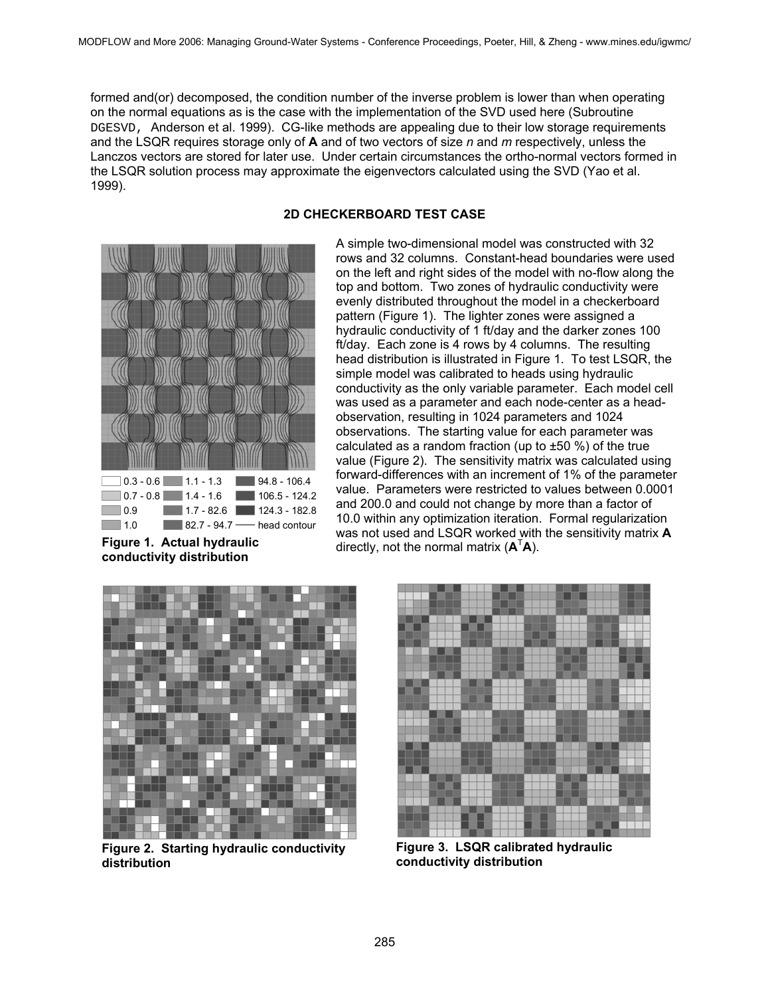formed and(or) decomposed, the condition number of the inverse problem is lower than when operating on the normal equations as is the case with the implementation of the SVD used here (Subroutine DGESVD, Anderson et al. 1999). CG-like methods are appealing due to their low storage requirements and the LSQR requires storage only of **A** and of two vectors of size *n* and *m* respectively, unless the Lanczos vectors are stored for later use. Under certain circumstances the ortho-normal vectors formed in the LSQR solution process may approximate the eigenvectors calculated using the SVD (Yao et al. 1999).



**conductivity distribution** 

# **2D CHECKERBOARD TEST CASE**

A simple two-dimensional model was constructed with 32 rows and 32 columns. Constant-head boundaries were used on the left and right sides of the model with no-flow along the top and bottom. Two zones of hydraulic conductivity were evenly distributed throughout the model in a checkerboard pattern (Figure 1). The lighter zones were assigned a hydraulic conductivity of 1 ft/day and the darker zones 100 ft/day. Each zone is 4 rows by 4 columns. The resulting head distribution is illustrated in Figure 1. To test LSQR, the simple model was calibrated to heads using hydraulic conductivity as the only variable parameter. Each model cell was used as a parameter and each node-center as a headobservation, resulting in 1024 parameters and 1024 observations. The starting value for each parameter was calculated as a random fraction (up to  $\pm 50$  %) of the true value (Figure 2). The sensitivity matrix was calculated using forward-differences with an increment of 1% of the parameter value. Parameters were restricted to values between 0.0001 and 200.0 and could not change by more than a factor of 10.0 within any optimization iteration. Formal regularization was not used and LSQR worked with the sensitivity matrix **A Figure 1. Actual hydraulic** directly, not the normal matrix  $(A^TA)$ .



**Figure 2. Starting hydraulic conductivity distribution** 



**Figure 3. LSQR calibrated hydraulic conductivity distribution**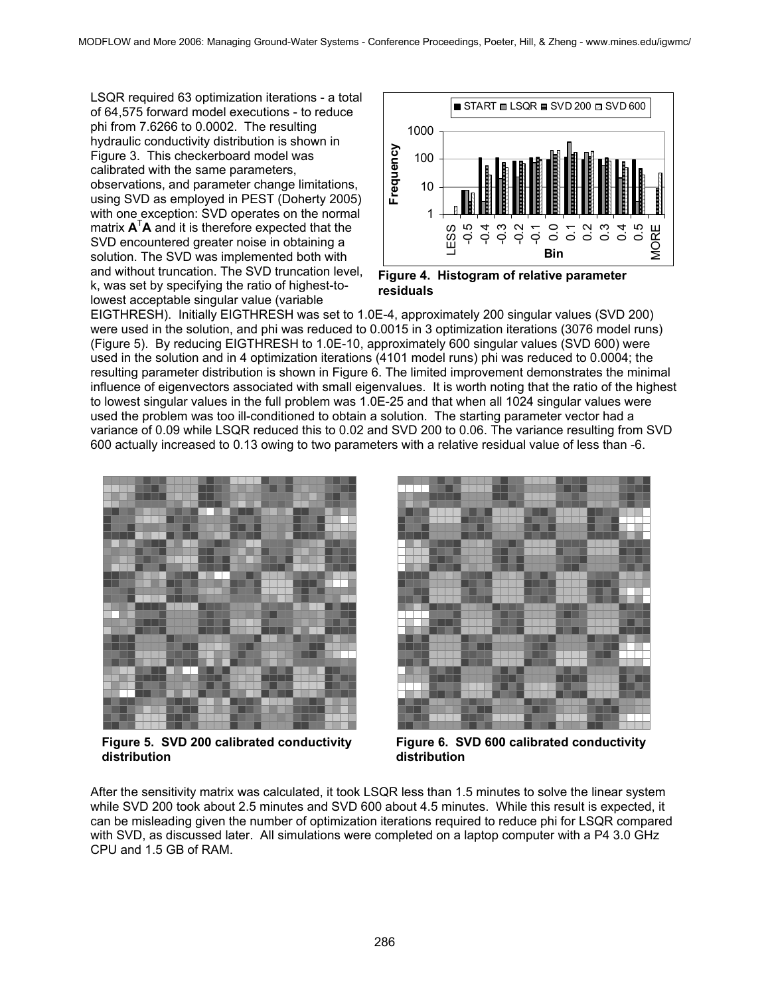LSQR required 63 optimization iterations - a total of 64,575 forward model executions - to reduce phi from 7.6266 to 0.0002. The resulting hydraulic conductivity distribution is shown in Figure 3. This checkerboard model was calibrated with the same parameters, observations, and parameter change limitations, using SVD as employed in PEST (Doherty 2005) with one exception: SVD operates on the normal matrix **A**<sup>T</sup> **A** and it is therefore expected that the SVD encountered greater noise in obtaining a solution. The SVD was implemented both with and without truncation. The SVD truncation level, k, was set by specifying the ratio of highest-tolowest acceptable singular value (variable



**Figure 4. Histogram of relative parameter residuals** 

EIGTHRESH). Initially EIGTHRESH was set to 1.0E-4, approximately 200 singular values (SVD 200) were used in the solution, and phi was reduced to 0.0015 in 3 optimization iterations (3076 model runs) (Figure 5). By reducing EIGTHRESH to 1.0E-10, approximately 600 singular values (SVD 600) were used in the solution and in 4 optimization iterations (4101 model runs) phi was reduced to 0.0004; the resulting parameter distribution is shown in Figure 6. The limited improvement demonstrates the minimal influence of eigenvectors associated with small eigenvalues. It is worth noting that the ratio of the highest to lowest singular values in the full problem was 1.0E-25 and that when all 1024 singular values were used the problem was too ill-conditioned to obtain a solution. The starting parameter vector had a variance of 0.09 while LSQR reduced this to 0.02 and SVD 200 to 0.06. The variance resulting from SVD 600 actually increased to 0.13 owing to two parameters with a relative residual value of less than -6.



**Figure 5. SVD 200 calibrated conductivity distribution** 



**Figure 6. SVD 600 calibrated conductivity distribution** 

After the sensitivity matrix was calculated, it took LSQR less than 1.5 minutes to solve the linear system while SVD 200 took about 2.5 minutes and SVD 600 about 4.5 minutes. While this result is expected, it can be misleading given the number of optimization iterations required to reduce phi for LSQR compared with SVD, as discussed later. All simulations were completed on a laptop computer with a P4 3.0 GHz CPU and 1.5 GB of RAM.